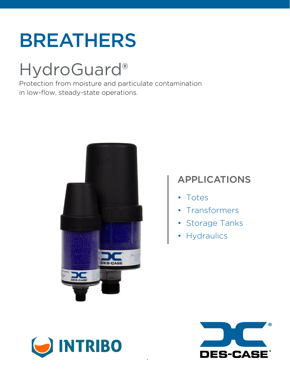# BREATHERS

# HydroGuard®

Protection from moisture and particulate contamination in low-flow, steady-state operations.



# APPLICATIONS

- Totes
- Transformers
- Storage Tanks
- Hydraulics



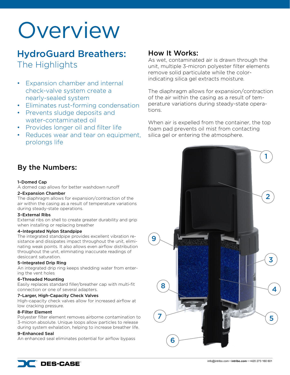# **Overview**

# HydroGuard Breathers: The Highlights

- Expansion chamber and internal check-valve system create a nearly-sealed system
- Eliminates rust-forming condensation
- Prevents sludge deposits and water-contaminated oil
- Provides longer oil and filter life
- Reduces wear and tear on equipment, prolongs life

# By the Numbers:

#### 1–Domed Cap

A domed cap allows for better washdown runoff

#### 2–Expansion Chamber

The diaphragm allows for expansion/contraction of the air within the casing as a result of temperature variations during steady-state operations.

#### 3–External Ribs

External ribs on shell to create greater durability and grip when installing or replacing breather

#### 4–Integrated Nylon Standpipe

The integrated standpipe provides excellent vibration resistance and dissipates impact throughout the unit, eliminating weak points. It also allows even airflow distribution throughout the unit, eliminating inaccurate readings of desiccant saturation.

#### 5–Integrated Drip Ring

An integrated drip ring keeps shedding water from entering the vent holes

#### 6–Threaded Mounting

Easily replaces standard filler/breather cap with multi-fit connection or one of several adapters.

#### 7–Larger, High-Capacity Check Valves

High-capacity check valves allow for increased airflow at low cracking pressure.

#### 8-Filter Element

Polyester filter element removes airborne contamination to 3-micron absolute. Unique loops allow particles to release during system exhalation, helping to increase breather life.

#### 9–Enhanced Seal

An enhanced seal eliminates potential for airflow bypass

## How It Works:

As wet, contaminated air is drawn through the unit, multiple 3-micron polyester filter elements remove solid particulate while the colorindicating silica gel extracts moisture.

The diaphragm allows for expansion/contraction of the air within the casing as a result of temperature variations during steady-state operations.

When air is expelled from the container, the top foam pad prevents oil mist from contacting silica gel or entering the atmosphere.

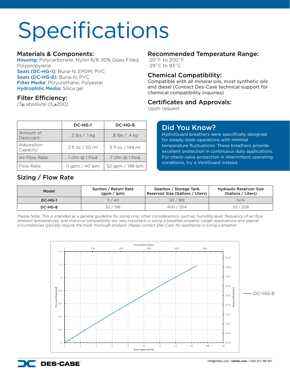# Specifications

### Materials & Components:

Housing: Polycarbonate, Nylon 6/6 30% Glass Filled, Polypropylene Seals (DC-HG-1): Buna-N, EPDM, PVC Seals (DC-HG-8): Buna-N, PVC Filter Media: Polyurethane, Polyester Hydrophilic Media: Silica gel

### Filter Efficiency:

( $3\mu$  absolute ( $\beta_z \geq 200$ )

|                         | DC-HG-1            | DC-HG-8            |  |  |  |
|-------------------------|--------------------|--------------------|--|--|--|
| Amount of<br>Desiccant: | $.3$ lbs $/$ .1 kg | $.8$ lbs $/$ .4 kg |  |  |  |
| Adsorption<br>Capacity: | 2 fl oz / 50 ml    | 5 fl oz / 144 ml   |  |  |  |
| Air Flow Rate:          | 1 cfm @ 1 Psid     | 7 cfm @ 1 Psid     |  |  |  |
| Flow Rate:              | 11 gpm $/$ 40 lpm  | 52 gpm / 198 lpm   |  |  |  |

## Sizing / Flow Rate

### Recommended Temperature Range:

-20˚F to 200˚F -29˚C to 93˚C

### Chemical Compatibility:

Compatible with all mineral oils, most synthetic oils and diesel (Contact Des-Case technical support for chemical compatibility inquiries)

### Certificates and Approvals:

Upon request

## Did You Know?

HydroGuard breathers were specifically designed for steady-state operations with minimal temperature fluctuations. These breathers provide excellent protection in continuous duty applications. For check-valve protection in intermittent operating conditions, try a VentGuard instead.

| Model             | Suction / Return Rate<br>(gpm / lpm) | Gearbox / Storage Tank<br>Reservoir Size (Gallons / Liters) | <b>Hydraulic Reservoir Size</b><br>(Gallons / Liters) |
|-------------------|--------------------------------------|-------------------------------------------------------------|-------------------------------------------------------|
| DC-HG-1           | 11/40                                |                                                             | N/A                                                   |
| 52/198<br>DC-HG-8 |                                      | 400 / 1514                                                  | 55/208                                                |

*Please Note: This is intended as a general guideline for sizing only; other considerations, such as: humidity level, frequency of air flow,*  ambient temperatures, and chemical compatibility are very important in sizing a breather properly. Larger applications and special *circumstances typically require the most thorough analysis. Please contact Des-Case for assistance in sizing a breather.*